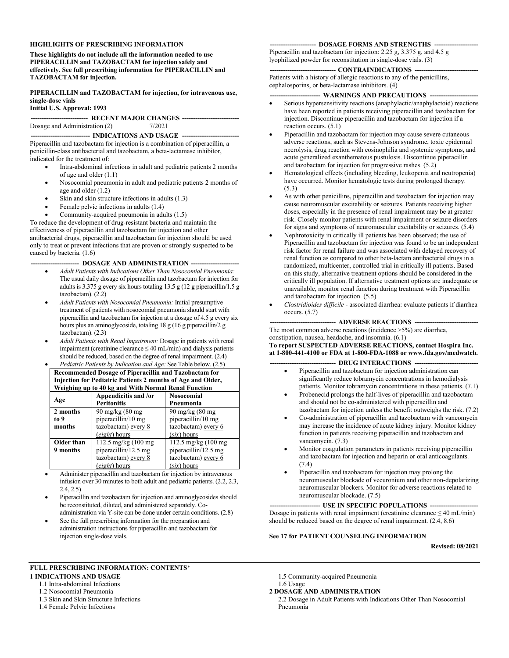#### **HIGHLIGHTS OF PRESCRIBING INFORMATION**

**These highlights do not include all the information needed to use PIPERACILLIN and TAZOBACTAM for injection safely and effectively. See full prescribing information for PIPERACILLIN and TAZOBACTAM for injection.**

**PIPERACILLIN and TAZOBACTAM for injection, for intravenous use, single-dose vials**

#### **Initial U.S. Approval: 1993**

#### **-------------------------- RECENT MAJOR CHANGES --------------------------** Dosage and Administration (2) 7/2021

#### -- **INDICATIONS AND USAGE** ---

Piperacillin and tazobactam for injection is a combination of piperacillin, a penicillin-class antibacterial and tazobactam, a beta-lactamase inhibitor, indicated for the treatment of:

- Intra-abdominal infections in adult and pediatric patients 2 months of age and older (1.1)
- Nosocomial pneumonia in adult and pediatric patients 2 months of age and older (1.2)
- Skin and skin structure infections in adults (1.3)
- Female pelvic infections in adults (1.4)
- Community-acquired pneumonia in adults (1.5)

To reduce the development of drug-resistant bacteria and maintain the effectiveness of piperacillin and tazobactam for injection and other antibacterial drugs, piperacillin and tazobactam for injection should be used only to treat or prevent infections that are proven or strongly suspected to be caused by bacteria. (1.6)

#### - DOSAGE AND ADMINISTRATION -

- *Adult Patients with Indications Other Than Nosocomial Pneumonia:* The usual daily dosage of piperacillin and tazobactam for injection for adults is 3.375 g every six hours totaling 13.5 g (12 g piperacillin/1.5 g tazobactam). (2.2)
- *Adult Patients with Nosocomial Pneumonia:* Initial presumptive treatment of patients with nosocomial pneumonia should start with piperacillin and tazobactam for injection at a dosage of 4.5 g every six hours plus an aminoglycoside, totaling 18 g (16 g piperacillin/2 g tazobactam). (2.3)
- *Adult Patients with Renal Impairment:* Dosage in patients with renal impairment (creatinine clearance  $\leq 40$  mL/min) and dialysis patients should be reduced, based on the degree of renal impairment. (2.4)
- *Pediatric Patients by Indication and Age:* See Table below. (2.5) **Recommended Dosage of Piperacillin and Tazobactam for Injection for Pediatric Patients 2 months of Age and Older, Weighing up to 40 kg and With Normal Renal Function**

| Age        | Appendicitis and /or       | <b>Nosocomial</b>              |  |  |
|------------|----------------------------|--------------------------------|--|--|
|            | <b>Peritonitis</b>         | Pneumonia                      |  |  |
| 2 months   | $90 \text{ mg/kg}$ (80 mg) | $90 \text{ mg/kg}$ (80 mg)     |  |  |
| to 9       | piperacillin/10 mg         | piperacillin/10 mg             |  |  |
| months     | tazobactam) every 8        | tazobactam) every 6            |  |  |
|            | <i>(eight)</i> hours       | $(six)$ hours                  |  |  |
| Older than | 112.5 mg/kg (100 mg)       | 112.5 mg/kg $(100 \text{ mg})$ |  |  |
| 9 months   | piperacillin/12.5 mg       | piperacillin/12.5 mg           |  |  |
|            | tazobactam) every 8        | tazobactam) every 6            |  |  |
|            | (eight) hours              | $(six)$ hours                  |  |  |

- Administer piperacillin and tazobactam for injection by intravenous infusion over 30 minutes to both adult and pediatric patients. (2.2, 2.3, 2.4, 2.5)
- Piperacillin and tazobactam for injection and aminoglycosides should be reconstituted, diluted, and administered separately. Coadministration via Y-site can be done under certain conditions. (2.8)
- See the full prescribing information for the preparation and administration instructions for piperacillin and tazobactam for injection single-dose vials.

# **-- DOSAGE FORMS AND STRENGTHS --**

Piperacillin and tazobactam for injection: 2.25 g, 3.375 g, and 4.5 g lyophilized powder for reconstitution in single-dose vials. (3)

#### --- CONTRAINDICATIONS --

Patients with a history of allergic reactions to any of the penicillins, cephalosporins, or beta-lactamase inhibitors. (4)

#### --- WARNINGS AND PRECAUTIONS ---

- Serious hypersensitivity reactions (anaphylactic/anaphylactoid) reactions have been reported in patients receiving piperacillin and tazobactam for injection. Discontinue piperacillin and tazobactam for injection if a reaction occurs. (5.1)
- Piperacillin and tazobactam for injection may cause severe cutaneous adverse reactions, such as Stevens-Johnson syndrome, toxic epidermal necrolysis, drug reaction with eosinophilia and systemic symptoms, and acute generalized exanthematous pustulosis. Discontinue piperacillin and tazobactam for injection for progressive rashes. (5.2)
- Hematological effects (including bleeding, leukopenia and neutropenia) have occurred. Monitor hematologic tests during prolonged therapy. (5.3)
- As with other penicillins, piperacillin and tazobactam for injection may cause neuromuscular excitability or seizures. Patients receiving higher doses, especially in the presence of renal impairment may be at greater risk. Closely monitor patients with renal impairment or seizure disorders for signs and symptoms of neuromuscular excitability or seizures. (5.4)
- Nephrotoxicity in critically ill patients has been observed; the use of Piperacillin and tazobactam for injection was found to be an independent risk factor for renal failure and was associated with delayed recovery of renal function as compared to other beta-lactam antibacterial drugs in a randomized, multicenter, controlled trial in critically ill patients. Based on this study, alternative treatment options should be considered in the critically ill population. If alternative treatment options are inadequate or unavailable, monitor renal function during treatment with Piperacillin and tazobactam for injection. (5.5)
- *Clostridioides difficile -* associated diarrhea: evaluate patients if diarrhea occurs. (5.7)

#### **------------------------------ ADVERSE REACTIONS -----------------------------**

The most common adverse reactions (incidence >5%) are diarrhea, constipation, nausea, headache, and insomnia. (6.1)

#### **To report SUSPECTED ADVERSE REACTIONS, contact Hospira Inc. at 1-800-441-4100 or FDA at 1-800-FDA-1088 or www.fda.gov/medwatch.**

#### **---- DRUG INTERACTIONS ---**

- Piperacillin and tazobactam for injection administration can significantly reduce tobramycin concentrations in hemodialysis patients. Monitor tobramycin concentrations in these patients. (7.1)
- Probenecid prolongs the half-lives of piperacillin and tazobactam and should not be co-administered with piperacillin and tazobactam for injection unless the benefit outweighs the risk. (7.2)
- Co-administration of piperacillin and tazobactam with vancomycin may increase the incidence of acute kidney injury. Monitor kidney function in patients receiving piperacillin and tazobactam and vancomycin. (7.3)
- Monitor coagulation parameters in patients receiving piperacillin and tazobactam for injection and heparin or oral anticoagulants. (7.4)
- Piperacillin and tazobactam for injection may prolong the neuromuscular blockade of vecuronium and other non-depolarizing neuromuscular blockers. Monitor for adverse reactions related to neuromuscular blockade. (7.5)

--- USE IN SPECIFIC POPULATIONS ----Dosage in patients with renal impairment (creatinine clearance  $\leq 40$  mL/min) should be reduced based on the degree of renal impairment. (2.4, 8.6)

#### **See 17 for PATIENT COUNSELING INFORMATION**

**Revised: 08/2021**

#### **FULL PRESCRIBING INFORMATION: CONTENTS**\*

**1 INDICATIONS AND USAGE**

- 1.1 Intra-abdominal Infections
- 1.2 Nosocomial Pneumonia
- 1.3 Skin and Skin Structure Infections
- 1.4 Female Pelvic Infections
- 1.5 Community-acquired Pneumonia
- 1.6 Usage
- **2 DOSAGE AND ADMINISTRATION**
	- 2.2 Dosage in Adult Patients with Indications Other Than Nosocomial Pneumonia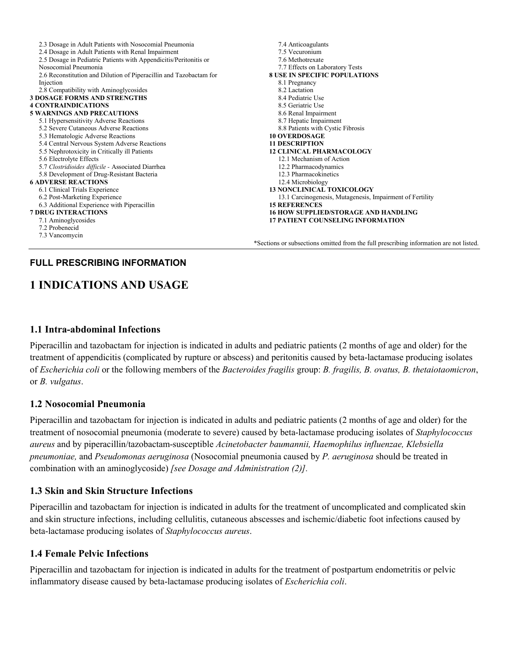| 2.3 Dosage in Adult Patients with Nosocomial Pneumonia             | 7.4 Anticoagulants                                                                     |
|--------------------------------------------------------------------|----------------------------------------------------------------------------------------|
| 2.4 Dosage in Adult Patients with Renal Impairment                 | 7.5 Vecuronium                                                                         |
| 2.5 Dosage in Pediatric Patients with Appendicitis/Peritonitis or  | 7.6 Methotrexate                                                                       |
| Nosocomial Pneumonia                                               | 7.7 Effects on Laboratory Tests                                                        |
| 2.6 Reconstitution and Dilution of Piperacillin and Tazobactam for | <b>8 USE IN SPECIFIC POPULATIONS</b>                                                   |
| Injection                                                          | 8.1 Pregnancy                                                                          |
| 2.8 Compatibility with Aminoglycosides                             | 8.2 Lactation                                                                          |
| <b>3 DOSAGE FORMS AND STRENGTHS</b>                                | 8.4 Pediatric Use                                                                      |
| <b>4 CONTRAINDICATIONS</b>                                         | 8.5 Geriatric Use                                                                      |
| <b>5 WARNINGS AND PRECAUTIONS</b>                                  | 8.6 Renal Impairment                                                                   |
| 5.1 Hypersensitivity Adverse Reactions                             | 8.7 Hepatic Impairment                                                                 |
| 5.2 Severe Cutaneous Adverse Reactions                             | 8.8 Patients with Cystic Fibrosis                                                      |
| 5.3 Hematologic Adverse Reactions                                  | <b>10 OVERDOSAGE</b>                                                                   |
| 5.4 Central Nervous System Adverse Reactions                       | <b>11 DESCRIPTION</b>                                                                  |
| 5.5 Nephrotoxicity in Critically ill Patients                      | <b>12 CLINICAL PHARMACOLOGY</b>                                                        |
| 5.6 Electrolyte Effects                                            | 12.1 Mechanism of Action                                                               |
| 5.7 Clostridioides difficile - Associated Diarrhea                 | 12.2 Pharmacodynamics                                                                  |
| 5.8 Development of Drug-Resistant Bacteria                         | 12.3 Pharmacokinetics                                                                  |
| <b>6 ADVERSE REACTIONS</b>                                         | 12.4 Microbiology                                                                      |
| 6.1 Clinical Trials Experience                                     | <b>13 NONCLINICAL TOXICOLOGY</b>                                                       |
| 6.2 Post-Marketing Experience                                      | 13.1 Carcinogenesis, Mutagenesis, Impairment of Fertility                              |
| 6.3 Additional Experience with Piperacillin                        | <b>15 REFERENCES</b>                                                                   |
| <b>7 DRUG INTERACTIONS</b>                                         | <b>16 HOW SUPPLIED/STORAGE AND HANDLING</b>                                            |
| 7.1 Aminoglycosides                                                | <b>17 PATIENT COUNSELING INFORMATION</b>                                               |
| 7.2 Probenecid                                                     |                                                                                        |
| 7.3 Vancomycin                                                     |                                                                                        |
|                                                                    | *Sections or subsections omitted from the full prescribing information are not listed. |

## **FULL PRESCRIBING INFORMATION**

# **1 INDICATIONS AND USAGE**

#### **1.1 Intra-abdominal Infections**

Piperacillin and tazobactam for injection is indicated in adults and pediatric patients (2 months of age and older) for the treatment of appendicitis (complicated by rupture or abscess) and peritonitis caused by beta-lactamase producing isolates of *Escherichia coli* or the following members of the *Bacteroides fragilis* group: *B. fragilis, B. ovatus, B. thetaiotaomicron*, or *B. vulgatus*.

### **1.2 Nosocomial Pneumonia**

Piperacillin and tazobactam for injection is indicated in adults and pediatric patients (2 months of age and older) for the treatment of nosocomial pneumonia (moderate to severe) caused by beta-lactamase producing isolates of *Staphylococcus aureus* and by piperacillin/tazobactam-susceptible *Acinetobacter baumannii, Haemophilus influenzae, Klebsiella pneumoniae,* and *Pseudomonas aeruginosa* (Nosocomial pneumonia caused by *P. aeruginosa* should be treated in combination with an aminoglycoside) *[see Dosage and Administration (2)].*

### **1.3 Skin and Skin Structure Infections**

Piperacillin and tazobactam for injection is indicated in adults for the treatment of uncomplicated and complicated skin and skin structure infections, including cellulitis, cutaneous abscesses and ischemic/diabetic foot infections caused by beta-lactamase producing isolates of *Staphylococcus aureus*.

#### **1.4 Female Pelvic Infections**

Piperacillin and tazobactam for injection is indicated in adults for the treatment of postpartum endometritis or pelvic inflammatory disease caused by beta-lactamase producing isolates of *Escherichia coli*.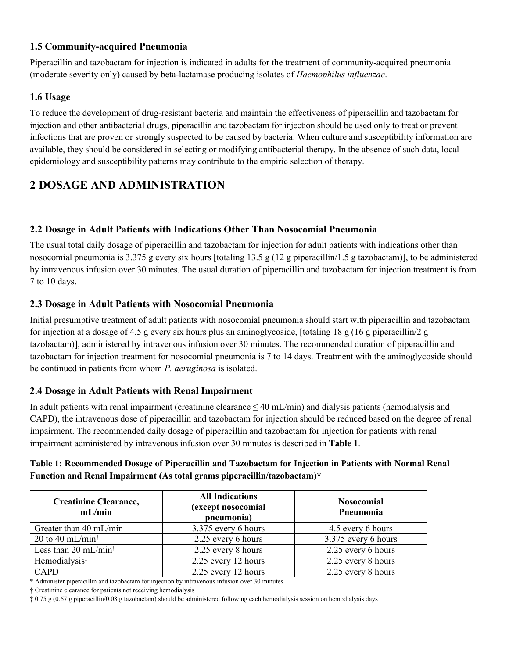### **1.5 Community-acquired Pneumonia**

Piperacillin and tazobactam for injection is indicated in adults for the treatment of community-acquired pneumonia (moderate severity only) caused by beta-lactamase producing isolates of *Haemophilus influenzae*.

### **1.6 Usage**

To reduce the development of drug-resistant bacteria and maintain the effectiveness of piperacillin and tazobactam for injection and other antibacterial drugs, piperacillin and tazobactam for injection should be used only to treat or prevent infections that are proven or strongly suspected to be caused by bacteria. When culture and susceptibility information are available, they should be considered in selecting or modifying antibacterial therapy. In the absence of such data, local epidemiology and susceptibility patterns may contribute to the empiric selection of therapy.

# **2 DOSAGE AND ADMINISTRATION**

## **2.2 Dosage in Adult Patients with Indications Other Than Nosocomial Pneumonia**

The usual total daily dosage of piperacillin and tazobactam for injection for adult patients with indications other than nosocomial pneumonia is 3.375 g every six hours [totaling 13.5 g (12 g piperacillin/1.5 g tazobactam)], to be administered by intravenous infusion over 30 minutes. The usual duration of piperacillin and tazobactam for injection treatment is from 7 to 10 days.

### **2.3 Dosage in Adult Patients with Nosocomial Pneumonia**

Initial presumptive treatment of adult patients with nosocomial pneumonia should start with piperacillin and tazobactam for injection at a dosage of 4.5 g every six hours plus an aminoglycoside, [totaling 18 g (16 g piperacillin/2 g tazobactam)], administered by intravenous infusion over 30 minutes. The recommended duration of piperacillin and tazobactam for injection treatment for nosocomial pneumonia is 7 to 14 days. Treatment with the aminoglycoside should be continued in patients from whom *P. aeruginosa* is isolated.

### **2.4 Dosage in Adult Patients with Renal Impairment**

In adult patients with renal impairment (creatinine clearance  $\leq 40$  mL/min) and dialysis patients (hemodialysis and CAPD), the intravenous dose of piperacillin and tazobactam for injection should be reduced based on the degree of renal impairment. The recommended daily dosage of piperacillin and tazobactam for injection for patients with renal impairment administered by intravenous infusion over 30 minutes is described in **Table 1**.

#### **Table 1: Recommended Dosage of Piperacillin and Tazobactam for Injection in Patients with Normal Renal Function and Renal Impairment (As total grams piperacillin/tazobactam)\***

| <b>Creatinine Clearance,</b><br>mL/min              | <b>All Indications</b><br>(except nosocomial<br>pneumonia) | <b>Nosocomial</b><br>Pneumonia |  |
|-----------------------------------------------------|------------------------------------------------------------|--------------------------------|--|
| Greater than 40 mL/min                              | 3.375 every 6 hours                                        | 4.5 every 6 hours              |  |
| 20 to 40 mL/min <sup><math>\dagger</math></sup>     | 2.25 every 6 hours                                         | 3.375 every 6 hours            |  |
| Less than 20 mL/min <sup><math>\dagger</math></sup> | 2.25 every 8 hours                                         | 2.25 every 6 hours             |  |
| Hemodialysis <sup>‡</sup>                           | 2.25 every 12 hours                                        | 2.25 every 8 hours             |  |
| CAPD                                                | 2.25 every 12 hours                                        | 2.25 every 8 hours             |  |

\* Administer piperacillin and tazobactam for injection by intravenous infusion over 30 minutes.

† Creatinine clearance for patients not receiving hemodialysis

‡ 0.75 g (0.67 g piperacillin/0.08 g tazobactam) should be administered following each hemodialysis session on hemodialysis days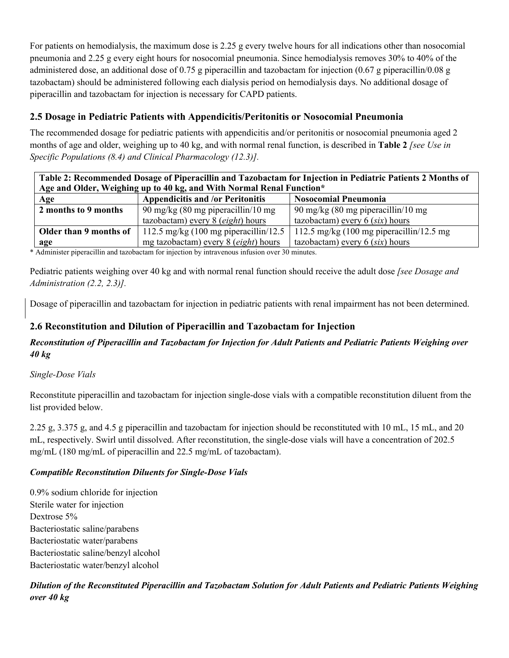For patients on hemodialysis, the maximum dose is 2.25 g every twelve hours for all indications other than nosocomial pneumonia and 2.25 g every eight hours for nosocomial pneumonia. Since hemodialysis removes 30% to 40% of the administered dose, an additional dose of 0.75 g piperacillin and tazobactam for injection (0.67 g piperacillin/0.08 g tazobactam) should be administered following each dialysis period on hemodialysis days. No additional dosage of piperacillin and tazobactam for injection is necessary for CAPD patients.

## **2.5 Dosage in Pediatric Patients with Appendicitis/Peritonitis or Nosocomial Pneumonia**

The recommended dosage for pediatric patients with appendicitis and/or peritonitis or nosocomial pneumonia aged 2 months of age and older, weighing up to 40 kg, and with normal renal function, is described in **Table 2** *[see Use in Specific Populations (8.4) and Clinical Pharmacology (12.3)].*

| Table 2: Recommended Dosage of Piperacillin and Tazobactam for Injection in Pediatric Patients 2 Months of |                                                                        |                                                             |  |  |  |  |
|------------------------------------------------------------------------------------------------------------|------------------------------------------------------------------------|-------------------------------------------------------------|--|--|--|--|
|                                                                                                            | Age and Older, Weighing up to 40 kg, and With Normal Renal Function*   |                                                             |  |  |  |  |
| Age                                                                                                        | <b>Appendicitis and /or Peritonitis</b><br><b>Nosocomial Pneumonia</b> |                                                             |  |  |  |  |
| 2 months to 9 months<br>90 mg/kg $(80 \text{ mg piperacillin}/10 \text{ mg})$                              |                                                                        | 90 mg/kg $(80 \text{ mg piperacillin}/10 \text{ mg})$       |  |  |  |  |
|                                                                                                            | tazobactam) every 8 (eight) hours                                      | tazobactam) every $6$ (six) hours                           |  |  |  |  |
| Older than 9 months of                                                                                     | 112.5 mg/kg $(100 \text{ mg piperacillin}/12.5)$                       | 112.5 mg/kg $(100 \text{ mg piperacillin}/12.5 \text{ mg})$ |  |  |  |  |
| age                                                                                                        | mg tazobactam) every 8 (eight) hours                                   | tazobactam) every $6$ (six) hours                           |  |  |  |  |

\* Administer piperacillin and tazobactam for injection by intravenous infusion over 30 minutes.

Pediatric patients weighing over 40 kg and with normal renal function should receive the adult dose *[see Dosage and Administration (2.2, 2.3)].*

Dosage of piperacillin and tazobactam for injection in pediatric patients with renal impairment has not been determined.

## **2.6 Reconstitution and Dilution of Piperacillin and Tazobactam for Injection**

### *Reconstitution of Piperacillin and Tazobactam for Injection for Adult Patients and Pediatric Patients Weighing over 40 kg*

### *Single-Dose Vials*

Reconstitute piperacillin and tazobactam for injection single-dose vials with a compatible reconstitution diluent from the list provided below.

2.25 g, 3.375 g, and 4.5 g piperacillin and tazobactam for injection should be reconstituted with 10 mL, 15 mL, and 20 mL, respectively. Swirl until dissolved. After reconstitution, the single-dose vials will have a concentration of 202.5 mg/mL (180 mg/mL of piperacillin and 22.5 mg/mL of tazobactam).

### *Compatible Reconstitution Diluents for Single-Dose Vials*

0.9% sodium chloride for injection Sterile water for injection Dextrose 5% Bacteriostatic saline/parabens Bacteriostatic water/parabens Bacteriostatic saline/benzyl alcohol Bacteriostatic water/benzyl alcohol

*Dilution of the Reconstituted Piperacillin and Tazobactam Solution for Adult Patients and Pediatric Patients Weighing over 40 kg*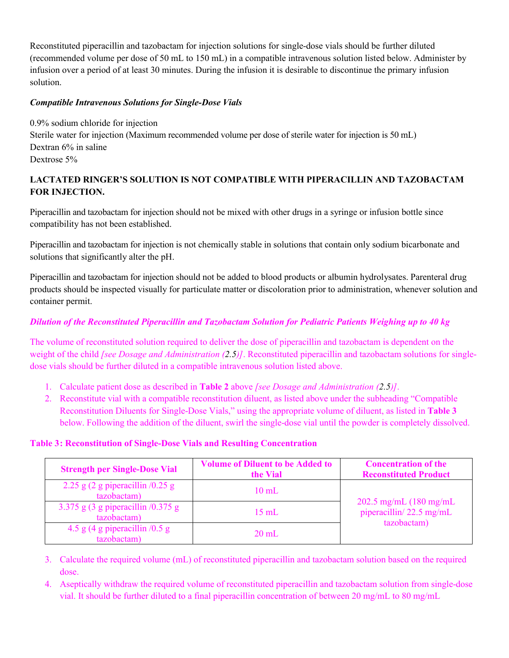Reconstituted piperacillin and tazobactam for injection solutions for single-dose vials should be further diluted (recommended volume per dose of 50 mL to 150 mL) in a compatible intravenous solution listed below. Administer by infusion over a period of at least 30 minutes. During the infusion it is desirable to discontinue the primary infusion solution.

#### *Compatible Intravenous Solutions for Single-Dose Vials*

0.9% sodium chloride for injection Sterile water for injection (Maximum recommended volume per dose of sterile water for injection is 50 mL) Dextran 6% in saline Dextrose 5%

### **LACTATED RINGER'S SOLUTION IS NOT COMPATIBLE WITH PIPERACILLIN AND TAZOBACTAM FOR INJECTION.**

Piperacillin and tazobactam for injection should not be mixed with other drugs in a syringe or infusion bottle since compatibility has not been established.

Piperacillin and tazobactam for injection is not chemically stable in solutions that contain only sodium bicarbonate and solutions that significantly alter the pH.

Piperacillin and tazobactam for injection should not be added to blood products or albumin hydrolysates. Parenteral drug products should be inspected visually for particulate matter or discoloration prior to administration, whenever solution and container permit.

### *Dilution of the Reconstituted Piperacillin and Tazobactam Solution for Pediatric Patients Weighing up to 40 kg*

The volume of reconstituted solution required to deliver the dose of piperacillin and tazobactam is dependent on the weight of the child *[see Dosage and Administration (2.5)]*. Reconstituted piperacillin and tazobactam solutions for singledose vials should be further diluted in a compatible intravenous solution listed above.

- 1. Calculate patient dose as described in **Table 2** above *[see Dosage and Administration (2.5)]*.
- 2. Reconstitute vial with a compatible reconstitution diluent, as listed above under the subheading "Compatible Reconstitution Diluents for Single-Dose Vials," using the appropriate volume of diluent, as listed in **Table 3** below. Following the addition of the diluent, swirl the single-dose vial until the powder is completely dissolved.

#### **Table 3: Reconstitution of Single-Dose Vials and Resulting Concentration**

| <b>Strength per Single-Dose Vial</b>                                 | <b>Volume of Diluent to be Added to</b><br>the Vial | <b>Concentration of the</b><br><b>Reconstituted Product</b>                 |  |
|----------------------------------------------------------------------|-----------------------------------------------------|-----------------------------------------------------------------------------|--|
| 2.25 g $(2 \text{ g})$ piperacillin $/0.25 \text{ g}$<br>tazobactam) | $10 \text{ mL}$                                     |                                                                             |  |
| 3.375 g (3 g piperacillin $/0.375$ g<br>tazobactam)                  | $15 \text{ mL}$                                     | 202.5 mg/mL $(180 \text{ mg/mL})$<br>piperacillin/22.5 mg/mL<br>tazobactam) |  |
| 4.5 g (4 g piperacillin $/0.5$ g<br>tazobactam)                      | $20 \text{ mL}$                                     |                                                                             |  |

- 3. Calculate the required volume (mL) of reconstituted piperacillin and tazobactam solution based on the required dose.
- 4. Aseptically withdraw the required volume of reconstituted piperacillin and tazobactam solution from single-dose vial. It should be further diluted to a final piperacillin concentration of between 20 mg/mL to 80 mg/mL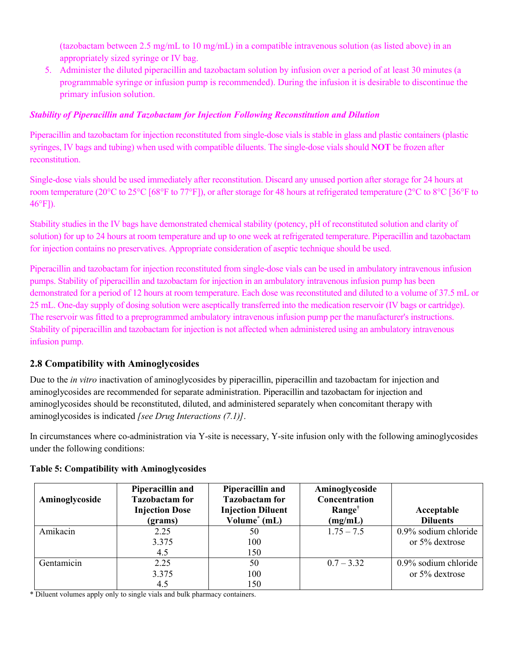(tazobactam between 2.5 mg/mL to 10 mg/mL) in a compatible intravenous solution (as listed above) in an appropriately sized syringe or IV bag.

5. Administer the diluted piperacillin and tazobactam solution by infusion over a period of at least 30 minutes (a programmable syringe or infusion pump is recommended). During the infusion it is desirable to discontinue the primary infusion solution.

#### *Stability of Piperacillin and Tazobactam for Injection Following Reconstitution and Dilution*

Piperacillin and tazobactam for injection reconstituted from single-dose vials is stable in glass and plastic containers (plastic syringes, IV bags and tubing) when used with compatible diluents. The single-dose vials should **NOT** be frozen after reconstitution.

Single-dose vials should be used immediately after reconstitution. Discard any unused portion after storage for 24 hours at room temperature (20°C to 25°C [68°F to 77°F]), or after storage for 48 hours at refrigerated temperature (2°C to 8°C [36°F to 46°F]).

Stability studies in the IV bags have demonstrated chemical stability (potency, pH of reconstituted solution and clarity of solution) for up to 24 hours at room temperature and up to one week at refrigerated temperature. Piperacillin and tazobactam for injection contains no preservatives. Appropriate consideration of aseptic technique should be used.

Piperacillin and tazobactam for injection reconstituted from single-dose vials can be used in ambulatory intravenous infusion pumps. Stability of piperacillin and tazobactam for injection in an ambulatory intravenous infusion pump has been demonstrated for a period of 12 hours at room temperature. Each dose was reconstituted and diluted to a volume of 37.5 mL or 25 mL. One-day supply of dosing solution were aseptically transferred into the medication reservoir (IV bags or cartridge). The reservoir was fitted to a preprogrammed ambulatory intravenous infusion pump per the manufacturer's instructions. Stability of piperacillin and tazobactam for injection is not affected when administered using an ambulatory intravenous infusion pump.

### **2.8 Compatibility with Aminoglycosides**

Due to the *in vitro* inactivation of aminoglycosides by piperacillin, piperacillin and tazobactam for injection and aminoglycosides are recommended for separate administration. Piperacillin and tazobactam for injection and aminoglycosides should be reconstituted, diluted, and administered separately when concomitant therapy with aminoglycosides is indicated *[see Drug Interactions (7.1)]*.

In circumstances where co-administration via Y-site is necessary, Y-site infusion only with the following aminoglycosides under the following conditions:

| Aminoglycoside | Piperacillin and<br><b>Tazobactam</b> for<br><b>Injection Dose</b><br>(grams) | Piperacillin and<br><b>Tazobactam</b> for<br><b>Injection Diluent</b><br>Volume <sup>*</sup> (mL) | Aminoglycoside<br>Concentration<br>Range <sup>†</sup><br>(mg/mL) | Acceptable<br><b>Diluents</b> |
|----------------|-------------------------------------------------------------------------------|---------------------------------------------------------------------------------------------------|------------------------------------------------------------------|-------------------------------|
| Amikacin       | 2.25                                                                          | 50                                                                                                | $1.75 - 7.5$                                                     | 0.9% sodium chloride          |
|                | 3.375                                                                         | 100                                                                                               |                                                                  | or 5% dextrose                |
|                | 4.5                                                                           | 150                                                                                               |                                                                  |                               |
| Gentamicin     | 2.25                                                                          | 50                                                                                                | $0.7 - 3.32$                                                     | 0.9% sodium chloride          |
|                | 3.375                                                                         | 100                                                                                               |                                                                  | or 5% dextrose                |
|                | 4.5                                                                           | 150                                                                                               |                                                                  |                               |

#### **Table 5: Compatibility with Aminoglycosides**

\* Diluent volumes apply only to single vials and bulk pharmacy containers.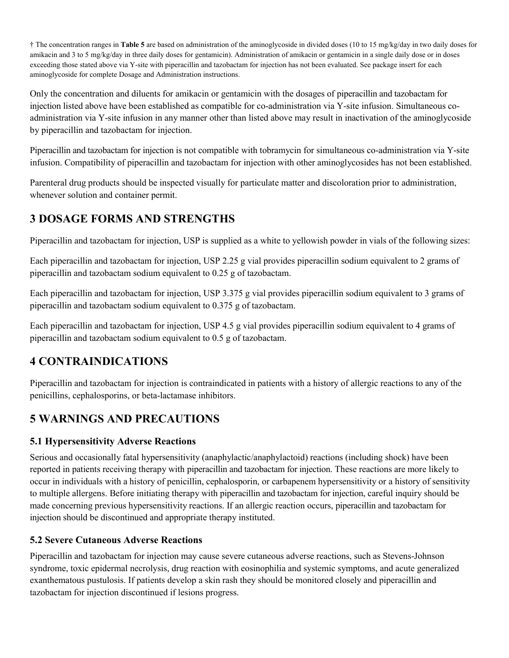† The concentration ranges in **Table 5** are based on administration of the aminoglycoside in divided doses (10 to 15 mg/kg/day in two daily doses for amikacin and 3 to 5 mg/kg/day in three daily doses for gentamicin). Administration of amikacin or gentamicin in a single daily dose or in doses exceeding those stated above via Y-site with piperacillin and tazobactam for injection has not been evaluated. See package insert for each aminoglycoside for complete Dosage and Administration instructions.

Only the concentration and diluents for amikacin or gentamicin with the dosages of piperacillin and tazobactam for injection listed above have been established as compatible for co-administration via Y-site infusion. Simultaneous coadministration via Y-site infusion in any manner other than listed above may result in inactivation of the aminoglycoside by piperacillin and tazobactam for injection.

Piperacillin and tazobactam for injection is not compatible with tobramycin for simultaneous co-administration via Y-site infusion. Compatibility of piperacillin and tazobactam for injection with other aminoglycosides has not been established.

Parenteral drug products should be inspected visually for particulate matter and discoloration prior to administration, whenever solution and container permit.

# **3 DOSAGE FORMS AND STRENGTHS**

Piperacillin and tazobactam for injection, USP is supplied as a white to yellowish powder in vials of the following sizes:

Each piperacillin and tazobactam for injection, USP 2.25 g vial provides piperacillin sodium equivalent to 2 grams of piperacillin and tazobactam sodium equivalent to 0.25 g of tazobactam.

Each piperacillin and tazobactam for injection, USP 3.375 g vial provides piperacillin sodium equivalent to 3 grams of piperacillin and tazobactam sodium equivalent to 0.375 g of tazobactam.

Each piperacillin and tazobactam for injection, USP 4.5 g vial provides piperacillin sodium equivalent to 4 grams of piperacillin and tazobactam sodium equivalent to 0.5 g of tazobactam.

# **4 CONTRAINDICATIONS**

Piperacillin and tazobactam for injection is contraindicated in patients with a history of allergic reactions to any of the penicillins, cephalosporins, or beta-lactamase inhibitors.

# **5 WARNINGS AND PRECAUTIONS**

## **5.1 Hypersensitivity Adverse Reactions**

Serious and occasionally fatal hypersensitivity (anaphylactic/anaphylactoid) reactions (including shock) have been reported in patients receiving therapy with piperacillin and tazobactam for injection. These reactions are more likely to occur in individuals with a history of penicillin, cephalosporin, or carbapenem hypersensitivity or a history of sensitivity to multiple allergens. Before initiating therapy with piperacillin and tazobactam for injection, careful inquiry should be made concerning previous hypersensitivity reactions. If an allergic reaction occurs, piperacillin and tazobactam for injection should be discontinued and appropriate therapy instituted.

## **5.2 Severe Cutaneous Adverse Reactions**

Piperacillin and tazobactam for injection may cause severe cutaneous adverse reactions, such as Stevens-Johnson syndrome, toxic epidermal necrolysis, drug reaction with eosinophilia and systemic symptoms, and acute generalized exanthematous pustulosis. If patients develop a skin rash they should be monitored closely and piperacillin and tazobactam for injection discontinued if lesions progress.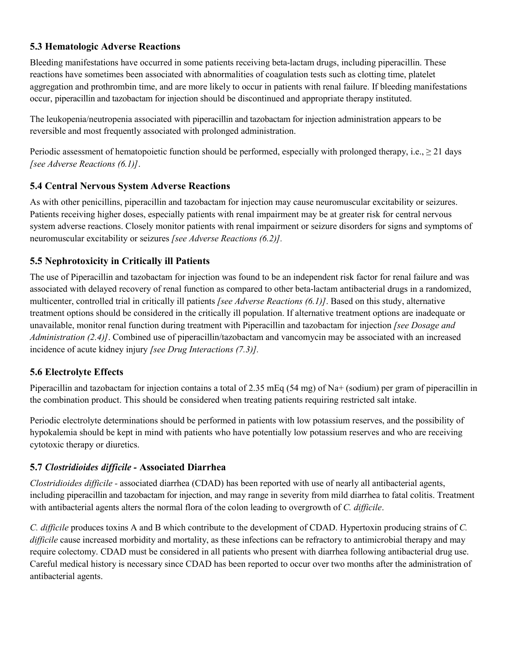## **5.3 Hematologic Adverse Reactions**

Bleeding manifestations have occurred in some patients receiving beta-lactam drugs, including piperacillin. These reactions have sometimes been associated with abnormalities of coagulation tests such as clotting time, platelet aggregation and prothrombin time, and are more likely to occur in patients with renal failure. If bleeding manifestations occur, piperacillin and tazobactam for injection should be discontinued and appropriate therapy instituted.

The leukopenia/neutropenia associated with piperacillin and tazobactam for injection administration appears to be reversible and most frequently associated with prolonged administration.

Periodic assessment of hematopoietic function should be performed, especially with prolonged therapy, i.e.,  $\geq 21$  days *[see Adverse Reactions (6.1)]*.

### **5.4 Central Nervous System Adverse Reactions**

As with other penicillins, piperacillin and tazobactam for injection may cause neuromuscular excitability or seizures. Patients receiving higher doses, especially patients with renal impairment may be at greater risk for central nervous system adverse reactions. Closely monitor patients with renal impairment or seizure disorders for signs and symptoms of neuromuscular excitability or seizures *[see Adverse Reactions (6.2)].*

## **5.5 Nephrotoxicity in Critically ill Patients**

The use of Piperacillin and tazobactam for injection was found to be an independent risk factor for renal failure and was associated with delayed recovery of renal function as compared to other beta-lactam antibacterial drugs in a randomized, multicenter, controlled trial in critically ill patients *[see Adverse Reactions (6.1)]*. Based on this study, alternative treatment options should be considered in the critically ill population. If alternative treatment options are inadequate or unavailable, monitor renal function during treatment with Piperacillin and tazobactam for injection *[see Dosage and Administration (2.4)]*. Combined use of piperacillin/tazobactam and vancomycin may be associated with an increased incidence of acute kidney injury *[see Drug Interactions (7.3)].*

### **5.6 Electrolyte Effects**

Piperacillin and tazobactam for injection contains a total of 2.35 mEq (54 mg) of Na+ (sodium) per gram of piperacillin in the combination product. This should be considered when treating patients requiring restricted salt intake.

Periodic electrolyte determinations should be performed in patients with low potassium reserves, and the possibility of hypokalemia should be kept in mind with patients who have potentially low potassium reserves and who are receiving cytotoxic therapy or diuretics.

### **5.7** *Clostridioides difficile -* **Associated Diarrhea**

*Clostridioides difficile -* associated diarrhea (CDAD) has been reported with use of nearly all antibacterial agents, including piperacillin and tazobactam for injection, and may range in severity from mild diarrhea to fatal colitis. Treatment with antibacterial agents alters the normal flora of the colon leading to overgrowth of *C. difficile*.

*C. difficile* produces toxins A and B which contribute to the development of CDAD. Hypertoxin producing strains of *C. difficile* cause increased morbidity and mortality, as these infections can be refractory to antimicrobial therapy and may require colectomy. CDAD must be considered in all patients who present with diarrhea following antibacterial drug use. Careful medical history is necessary since CDAD has been reported to occur over two months after the administration of antibacterial agents.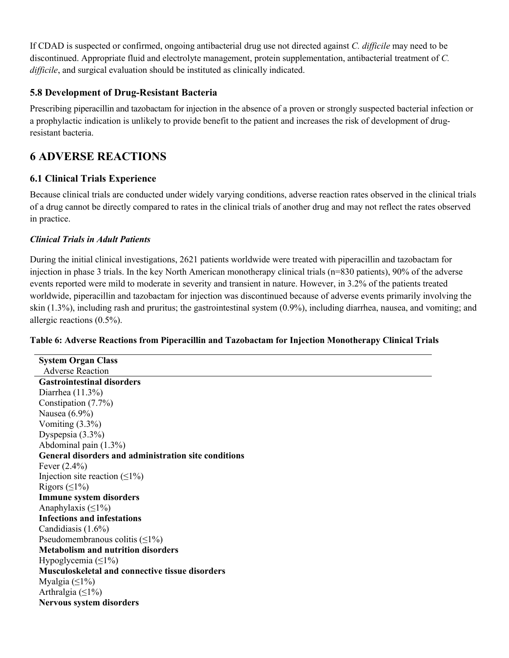If CDAD is suspected or confirmed, ongoing antibacterial drug use not directed against *C. difficile* may need to be discontinued. Appropriate fluid and electrolyte management, protein supplementation, antibacterial treatment of *C. difficile*, and surgical evaluation should be instituted as clinically indicated.

### **5.8 Development of Drug-Resistant Bacteria**

Prescribing piperacillin and tazobactam for injection in the absence of a proven or strongly suspected bacterial infection or a prophylactic indication is unlikely to provide benefit to the patient and increases the risk of development of drugresistant bacteria.

# **6 ADVERSE REACTIONS**

## **6.1 Clinical Trials Experience**

Because clinical trials are conducted under widely varying conditions, adverse reaction rates observed in the clinical trials of a drug cannot be directly compared to rates in the clinical trials of another drug and may not reflect the rates observed in practice.

### *Clinical Trials in Adult Patients*

During the initial clinical investigations, 2621 patients worldwide were treated with piperacillin and tazobactam for injection in phase 3 trials. In the key North American monotherapy clinical trials (n=830 patients), 90% of the adverse events reported were mild to moderate in severity and transient in nature. However, in 3.2% of the patients treated worldwide, piperacillin and tazobactam for injection was discontinued because of adverse events primarily involving the skin (1.3%), including rash and pruritus; the gastrointestinal system (0.9%), including diarrhea, nausea, and vomiting; and allergic reactions (0.5%).

### **Table 6: Adverse Reactions from Piperacillin and Tazobactam for Injection Monotherapy Clinical Trials**

**System Organ Class** Adverse Reaction **Gastrointestinal disorders** Diarrhea (11.3%) Constipation (7.7%) Nausea (6.9%) Vomiting (3.3%) Dyspepsia (3.3%) Abdominal pain (1.3%) **General disorders and administration site conditions** Fever (2.4%) Injection site reaction  $(≤1%)$ Rigors  $( \leq 1\%)$ **Immune system disorders** Anaphylaxis  $(\leq 1\%)$ **Infections and infestations** Candidiasis (1.6%) Pseudomembranous colitis  $(\leq 1\%)$ **Metabolism and nutrition disorders** Hypoglycemia (≤1%) **Musculoskeletal and connective tissue disorders** Myalgia  $(\leq 1\%)$ Arthralgia  $(\leq 1\%)$ **Nervous system disorders**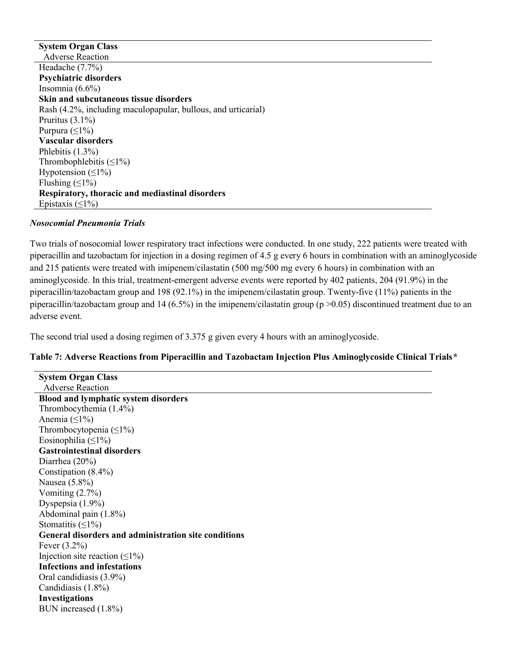**System Organ Class** Adverse Reaction Headache (7.7%) **Psychiatric disorders** Insomnia  $(6.6\%)$ **Skin and subcutaneous tissue disorders** Rash (4.2%, including maculopapular, bullous, and urticarial) Pruritus (3.1%) Purpura  $(\leq 1\%)$ **Vascular disorders** Phlebitis (1.3%) Thrombophlebitis  $(\leq 1\%)$ Hypotension  $(\leq 1\%)$ Flushing  $(≤1%)$ **Respiratory, thoracic and mediastinal disorders** Epistaxis  $(\leq 1\%)$ 

#### *Nosocomial Pneumonia Trials*

Two trials of nosocomial lower respiratory tract infections were conducted. In one study, 222 patients were treated with piperacillin and tazobactam for injection in a dosing regimen of 4.5 g every 6 hours in combination with an aminoglycoside and 215 patients were treated with imipenem/cilastatin (500 mg/500 mg every 6 hours) in combination with an aminoglycoside. In this trial, treatment-emergent adverse events were reported by 402 patients, 204 (91.9%) in the piperacillin/tazobactam group and 198 (92.1%) in the imipenem/cilastatin group. Twenty-five (11%) patients in the piperacillin/tazobactam group and 14 (6.5%) in the imipenem/cilastatin group ( $p > 0.05$ ) discontinued treatment due to an adverse event.

The second trial used a dosing regimen of 3.375 g given every 4 hours with an aminoglycoside.

#### **Table 7: Adverse Reactions from Piperacillin and Tazobactam Injection Plus Aminoglycoside Clinical Trials***\**

| <b>System Organ Class</b>                            |
|------------------------------------------------------|
| <b>Adverse Reaction</b>                              |
| <b>Blood and lymphatic system disorders</b>          |
| Thrombocythemia (1.4%)                               |
| Anemia $( \leq 1\%)$                                 |
| Thrombocytopenia $(\leq 1\%)$                        |
| Eosinophilia $( \leq 1\%)$                           |
| <b>Gastrointestinal disorders</b>                    |
| Diarrhea $(20\%)$                                    |
| Constipation $(8.4\%)$                               |
| Nausea $(5.8\%)$                                     |
| Vomiting $(2.7\%)$                                   |
| Dyspepsia $(1.9\%)$                                  |
| Abdominal pain (1.8%)                                |
| Stomatitis $( \leq 1\%)$                             |
| General disorders and administration site conditions |
| Fever $(3.2\%)$                                      |
| Injection site reaction $(\leq 1\%)$                 |
| <b>Infections and infestations</b>                   |
| Oral candidiasis (3.9%)                              |
| Candidiasis (1.8%)                                   |
| <b>Investigations</b>                                |
| BUN increased (1.8%)                                 |
|                                                      |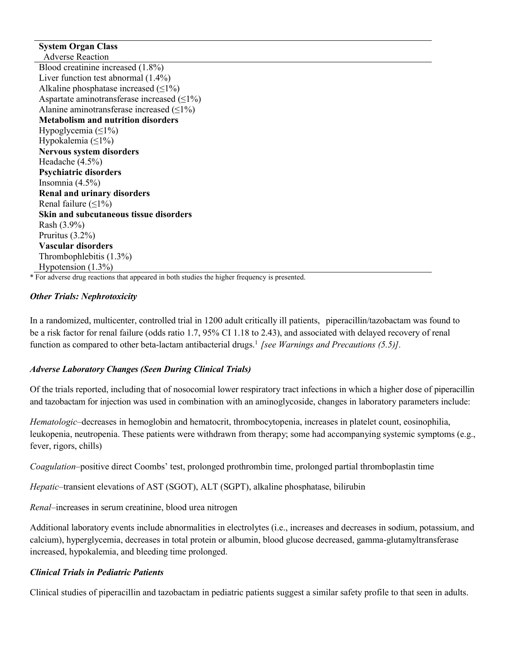**System Organ Class** Adverse Reaction Blood creatinine increased (1.8%) Liver function test abnormal (1.4%) Alkaline phosphatase increased  $(\leq 1\%)$ Aspartate aminotransferase increased  $(\leq 1\%)$ Alanine aminotransferase increased  $($ **Metabolism and nutrition disorders** Hypoglycemia  $(\leq 1\%)$ Hypokalemia  $(\leq 1\%)$ **Nervous system disorders** Headache (4.5%) **Psychiatric disorders** Insomnia (4.5%) **Renal and urinary disorders** Renal failure  $($  < 1%) **Skin and subcutaneous tissue disorders** Rash (3.9%) Pruritus (3.2%) **Vascular disorders** Thrombophlebitis (1.3%) Hypotension (1.3%)

\* For adverse drug reactions that appeared in both studies the higher frequency is presented.

#### *Other Trials: Nephrotoxicity*

In a randomized, multicenter, controlled trial in 1200 adult critically ill patients, piperacillin/tazobactam was found to be a risk factor for renal failure (odds ratio 1.7, 95% CI 1.18 to 2.43), and associated with delayed recovery of renal function as compared to other beta-lactam antibacterial drugs.<sup>1</sup> *[see Warnings and Precautions (5.5)].*

#### *Adverse Laboratory Changes (Seen During Clinical Trials)*

Of the trials reported, including that of nosocomial lower respiratory tract infections in which a higher dose of piperacillin and tazobactam for injection was used in combination with an aminoglycoside, changes in laboratory parameters include:

*Hematologic*–decreases in hemoglobin and hematocrit, thrombocytopenia, increases in platelet count, eosinophilia, leukopenia, neutropenia. These patients were withdrawn from therapy; some had accompanying systemic symptoms (e.g., fever, rigors, chills)

*Coagulation*–positive direct Coombs' test, prolonged prothrombin time, prolonged partial thromboplastin time

*Hepatic*–transient elevations of AST (SGOT), ALT (SGPT), alkaline phosphatase, bilirubin

*Renal*–increases in serum creatinine, blood urea nitrogen

Additional laboratory events include abnormalities in electrolytes (i.e., increases and decreases in sodium, potassium, and calcium), hyperglycemia, decreases in total protein or albumin, blood glucose decreased, gamma-glutamyltransferase increased, hypokalemia, and bleeding time prolonged.

#### *Clinical Trials in Pediatric Patients*

Clinical studies of piperacillin and tazobactam in pediatric patients suggest a similar safety profile to that seen in adults.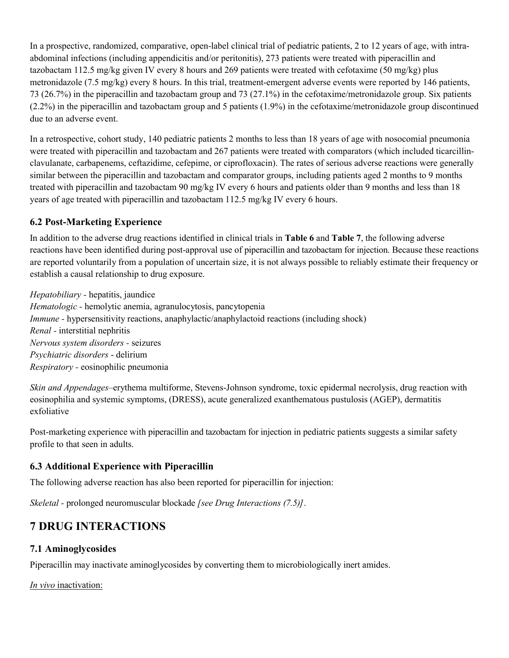In a prospective, randomized, comparative, open-label clinical trial of pediatric patients, 2 to 12 years of age, with intraabdominal infections (including appendicitis and/or peritonitis), 273 patients were treated with piperacillin and tazobactam 112.5 mg/kg given IV every 8 hours and 269 patients were treated with cefotaxime (50 mg/kg) plus metronidazole (7.5 mg/kg) every 8 hours. In this trial, treatment-emergent adverse events were reported by 146 patients, 73 (26.7%) in the piperacillin and tazobactam group and 73 (27.1%) in the cefotaxime/metronidazole group. Six patients (2.2%) in the piperacillin and tazobactam group and 5 patients (1.9%) in the cefotaxime/metronidazole group discontinued due to an adverse event.

In a retrospective, cohort study, 140 pediatric patients 2 months to less than 18 years of age with nosocomial pneumonia were treated with piperacillin and tazobactam and 267 patients were treated with comparators (which included ticarcillinclavulanate, carbapenems, ceftazidime, cefepime, or ciprofloxacin). The rates of serious adverse reactions were generally similar between the piperacillin and tazobactam and comparator groups, including patients aged 2 months to 9 months treated with piperacillin and tazobactam 90 mg/kg IV every 6 hours and patients older than 9 months and less than 18 years of age treated with piperacillin and tazobactam 112.5 mg/kg IV every 6 hours.

## **6.2 Post-Marketing Experience**

In addition to the adverse drug reactions identified in clinical trials in **Table 6** and **Table 7**, the following adverse reactions have been identified during post-approval use of piperacillin and tazobactam for injection. Because these reactions are reported voluntarily from a population of uncertain size, it is not always possible to reliably estimate their frequency or establish a causal relationship to drug exposure.

*Hepatobiliary -* hepatitis, jaundice *Hematologic -* hemolytic anemia, agranulocytosis, pancytopenia *Immune* - hypersensitivity reactions, anaphylactic/anaphylactoid reactions (including shock) *Renal -* interstitial nephritis *Nervous system disorders -* seizures *Psychiatric disorders* - delirium *Respiratory -* eosinophilic pneumonia

*Skin and Appendages*–erythema multiforme, Stevens-Johnson syndrome, toxic epidermal necrolysis, drug reaction with eosinophilia and systemic symptoms, (DRESS), acute generalized exanthematous pustulosis (AGEP), dermatitis exfoliative

Post-marketing experience with piperacillin and tazobactam for injection in pediatric patients suggests a similar safety profile to that seen in adults.

### **6.3 Additional Experience with Piperacillin**

The following adverse reaction has also been reported for piperacillin for injection:

*Skeletal -* prolonged neuromuscular blockade *[see Drug Interactions (7.5)]*.

# **7 DRUG INTERACTIONS**

### **7.1 Aminoglycosides**

Piperacillin may inactivate aminoglycosides by converting them to microbiologically inert amides.

*In vivo* inactivation: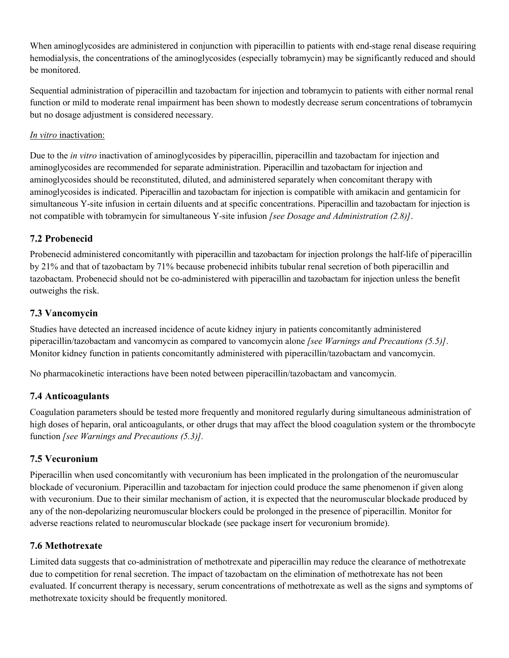When aminogly cosides are administered in conjunction with piperacillin to patients with end-stage renal disease requiring hemodialysis, the concentrations of the aminoglycosides (especially tobramycin) may be significantly reduced and should be monitored.

Sequential administration of piperacillin and tazobactam for injection and tobramycin to patients with either normal renal function or mild to moderate renal impairment has been shown to modestly decrease serum concentrations of tobramycin but no dosage adjustment is considered necessary.

#### *In vitro* inactivation:

Due to the *in vitro* inactivation of aminoglycosides by piperacillin, piperacillin and tazobactam for injection and aminoglycosides are recommended for separate administration. Piperacillin and tazobactam for injection and aminoglycosides should be reconstituted, diluted, and administered separately when concomitant therapy with aminoglycosides is indicated. Piperacillin and tazobactam for injection is compatible with amikacin and gentamicin for simultaneous Y-site infusion in certain diluents and at specific concentrations. Piperacillin and tazobactam for injection is not compatible with tobramycin for simultaneous Y-site infusion *[see Dosage and Administration (2.8)]*.

### **7.2 Probenecid**

Probenecid administered concomitantly with piperacillin and tazobactam for injection prolongs the half-life of piperacillin by 21% and that of tazobactam by 71% because probenecid inhibits tubular renal secretion of both piperacillin and tazobactam. Probenecid should not be co-administered with piperacillin and tazobactam for injection unless the benefit outweighs the risk.

## **7.3 Vancomycin**

Studies have detected an increased incidence of acute kidney injury in patients concomitantly administered piperacillin/tazobactam and vancomycin as compared to vancomycin alone *[see Warnings and Precautions (5.5)]*. Monitor kidney function in patients concomitantly administered with piperacillin/tazobactam and vancomycin.

No pharmacokinetic interactions have been noted between piperacillin/tazobactam and vancomycin.

### **7.4 Anticoagulants**

Coagulation parameters should be tested more frequently and monitored regularly during simultaneous administration of high doses of heparin, oral anticoagulants, or other drugs that may affect the blood coagulation system or the thrombocyte function *[see Warnings and Precautions (5.3)].*

### **7.5 Vecuronium**

Piperacillin when used concomitantly with vecuronium has been implicated in the prolongation of the neuromuscular blockade of vecuronium. Piperacillin and tazobactam for injection could produce the same phenomenon if given along with vecuronium. Due to their similar mechanism of action, it is expected that the neuromuscular blockade produced by any of the non-depolarizing neuromuscular blockers could be prolonged in the presence of piperacillin. Monitor for adverse reactions related to neuromuscular blockade (see package insert for vecuronium bromide).

### **7.6 Methotrexate**

Limited data suggests that co-administration of methotrexate and piperacillin may reduce the clearance of methotrexate due to competition for renal secretion. The impact of tazobactam on the elimination of methotrexate has not been evaluated. If concurrent therapy is necessary, serum concentrations of methotrexate as well as the signs and symptoms of methotrexate toxicity should be frequently monitored.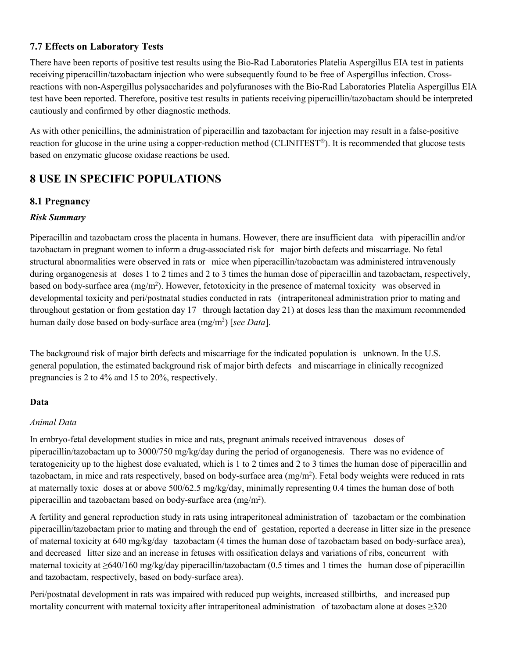### **7.7 Effects on Laboratory Tests**

There have been reports of positive test results using the Bio-Rad Laboratories Platelia Aspergillus EIA test in patients receiving piperacillin/tazobactam injection who were subsequently found to be free of Aspergillus infection. Crossreactions with non-Aspergillus polysaccharides and polyfuranoses with the Bio-Rad Laboratories Platelia Aspergillus EIA test have been reported. Therefore, positive test results in patients receiving piperacillin/tazobactam should be interpreted cautiously and confirmed by other diagnostic methods.

As with other penicillins, the administration of piperacillin and tazobactam for injection may result in a false-positive reaction for glucose in the urine using a copper-reduction method (CLINITEST ®). It is recommended that glucose tests based on enzymatic glucose oxidase reactions be used.

# **8 USE IN SPECIFIC POPULATIONS**

### **8.1 Pregnancy**

#### *Risk Summary*

Piperacillin and tazobactam cross the placenta in humans. However, there are insufficient data with piperacillin and/or tazobactam in pregnant women to inform a drug-associated risk for major birth defects and miscarriage. No fetal structural abnormalities were observed in rats or mice when piperacillin/tazobactam was administered intravenously during organogenesis at doses 1 to 2 times and 2 to 3 times the human dose of piperacillin and tazobactam, respectively, based on body-surface area (mg/m<sup>2</sup>). However, fetotoxicity in the presence of maternal toxicity was observed in developmental toxicity and peri/postnatal studies conducted in rats (intraperitoneal administration prior to mating and throughout gestation or from gestation day 17 through lactation day 21) at doses less than the maximum recommended human daily dose based on body-surface area (mg/m<sup>2</sup> ) [*see Data*].

The background risk of major birth defects and miscarriage for the indicated population is unknown. In the U.S. general population, the estimated background risk of major birth defects and miscarriage in clinically recognized pregnancies is 2 to 4% and 15 to 20%, respectively.

#### **Data**

#### *Animal Data*

In embryo-fetal development studies in mice and rats, pregnant animals received intravenous doses of piperacillin/tazobactam up to 3000/750 mg/kg/day during the period of organogenesis. There was no evidence of teratogenicity up to the highest dose evaluated, which is 1 to 2 times and 2 to 3 times the human dose of piperacillin and tazobactam, in mice and rats respectively, based on body-surface area  $(mg/m<sup>2</sup>)$ . Fetal body weights were reduced in rats at maternally toxic doses at or above 500/62.5 mg/kg/day, minimally representing 0.4 times the human dose of both piperacillin and tazobactam based on body-surface area (mg/m<sup>2</sup>).

A fertility and general reproduction study in rats using intraperitoneal administration of tazobactam or the combination piperacillin/tazobactam prior to mating and through the end of gestation, reported a decrease in litter size in the presence of maternal toxicity at 640 mg/kg/day tazobactam (4 times the human dose of tazobactam based on body-surface area), and decreased litter size and an increase in fetuses with ossification delays and variations of ribs, concurrent with maternal toxicity at  $\geq 640/160$  mg/kg/day piperacillin/tazobactam (0.5 times and 1 times the human dose of piperacillin and tazobactam, respectively, based on body-surface area).

Peri/postnatal development in rats was impaired with reduced pup weights, increased stillbirths, and increased pup mortality concurrent with maternal toxicity after intraperitoneal administration of tazobactam alone at doses ≥320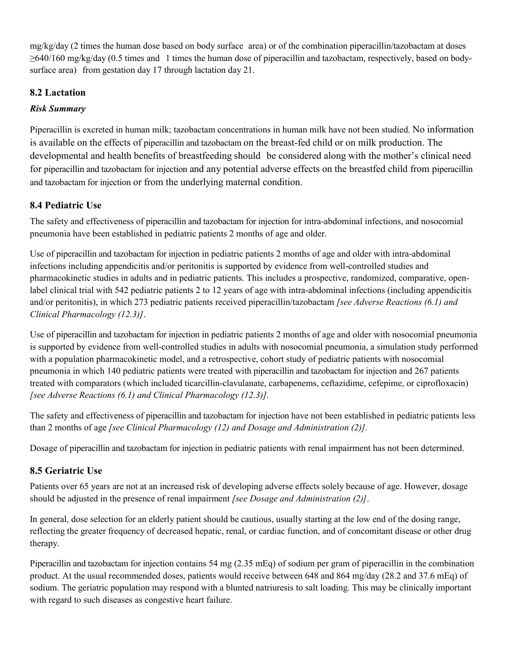mg/kg/day (2 times the human dose based on body surface area) or of the combination piperacillin/tazobactam at doses ≥640/160 mg/kg/day (0.5 times and 1 times the human dose of piperacillin and tazobactam, respectively, based on bodysurface area) from gestation day 17 through lactation day 21.

## **8.2 Lactation**

### *Risk Summary*

Piperacillin is excreted in human milk; tazobactam concentrations in human milk have not been studied. No information is available on the effects of piperacillin and tazobactam on the breast-fed child or on milk production. The developmental and health benefits of breastfeeding should be considered along with the mother's clinical need for piperacillin and tazobactam for injection and any potential adverse effects on the breastfed child from piperacillin and tazobactam for injection or from the underlying maternal condition.

## **8.4 Pediatric Use**

The safety and effectiveness of piperacillin and tazobactam for injection for intra-abdominal infections, and nosocomial pneumonia have been established in pediatric patients 2 months of age and older.

Use of piperacillin and tazobactam for injection in pediatric patients 2 months of age and older with intra-abdominal infections including appendicitis and/or peritonitis is supported by evidence from well-controlled studies and pharmacokinetic studies in adults and in pediatric patients. This includes a prospective, randomized, comparative, openlabel clinical trial with 542 pediatric patients 2 to 12 years of age with intra-abdominal infections (including appendicitis and/or peritonitis), in which 273 pediatric patients received piperacillin/tazobactam *[see Adverse Reactions (6.1) and Clinical Pharmacology (12.3)]*.

Use of piperacillin and tazobactam for injection in pediatric patients 2 months of age and older with nosocomial pneumonia is supported by evidence from well-controlled studies in adults with nosocomial pneumonia, a simulation study performed with a population pharmacokinetic model, and a retrospective, cohort study of pediatric patients with nosocomial pneumonia in which 140 pediatric patients were treated with piperacillin and tazobactam for injection and 267 patients treated with comparators (which included ticarcillin-clavulanate, carbapenems, ceftazidime, cefepime, or ciprofloxacin) *[see Adverse Reactions (6.1) and Clinical Pharmacology (12.3)].*

The safety and effectiveness of piperacillin and tazobactam for injection have not been established in pediatric patients less than 2 months of age *[see Clinical Pharmacology (12) and Dosage and Administration (2)].*

Dosage of piperacillin and tazobactam for injection in pediatric patients with renal impairment has not been determined.

## **8.5 Geriatric Use**

Patients over 65 years are not at an increased risk of developing adverse effects solely because of age. However, dosage should be adjusted in the presence of renal impairment *[see Dosage and Administration (2)]*.

In general, dose selection for an elderly patient should be cautious, usually starting at the low end of the dosing range, reflecting the greater frequency of decreased hepatic, renal, or cardiac function, and of concomitant disease or other drug therapy.

Piperacillin and tazobactam for injection contains 54 mg (2.35 mEq) of sodium per gram of piperacillin in the combination product. At the usual recommended doses, patients would receive between 648 and 864 mg/day (28.2 and 37.6 mEq) of sodium. The geriatric population may respond with a blunted natriuresis to salt loading. This may be clinically important with regard to such diseases as congestive heart failure.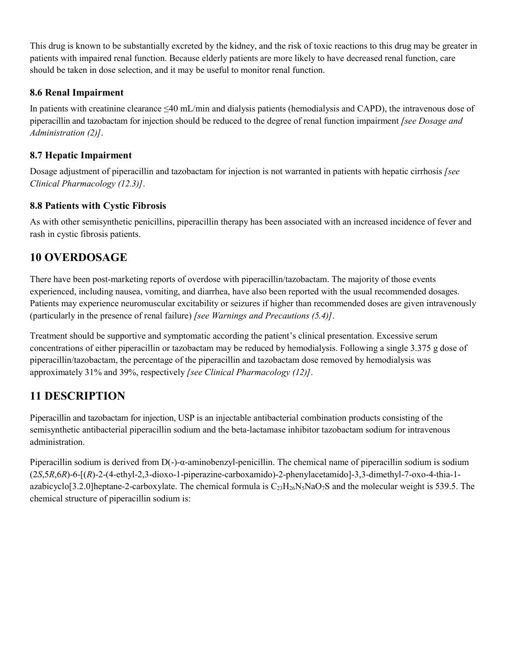This drug is known to be substantially excreted by the kidney, and the risk of toxic reactions to this drug may be greater in patients with impaired renal function. Because elderly patients are more likely to have decreased renal function, care should be taken in dose selection, and it may be useful to monitor renal function.

### **8.6 Renal Impairment**

In patients with creatinine clearance ≤40 mL/min and dialysis patients (hemodialysis and CAPD), the intravenous dose of piperacillin and tazobactam for injection should be reduced to the degree of renal function impairment *[see Dosage and Administration (2)]*.

## **8.7 Hepatic Impairment**

Dosage adjustment of piperacillin and tazobactam for injection is not warranted in patients with hepatic cirrhosis *[see Clinical Pharmacology (12.3)]*.

## **8.8 Patients with Cystic Fibrosis**

As with other semisynthetic penicillins, piperacillin therapy has been associated with an increased incidence of fever and rash in cystic fibrosis patients.

# **10 OVERDOSAGE**

There have been post-marketing reports of overdose with piperacillin/tazobactam. The majority of those events experienced, including nausea, vomiting, and diarrhea, have also been reported with the usual recommended dosages. Patients may experience neuromuscular excitability or seizures if higher than recommended doses are given intravenously (particularly in the presence of renal failure) *[see Warnings and Precautions (5.4)]*.

Treatment should be supportive and symptomatic according the patient's clinical presentation. Excessive serum concentrations of either piperacillin or tazobactam may be reduced by hemodialysis. Following a single 3.375 g dose of piperacillin/tazobactam, the percentage of the piperacillin and tazobactam dose removed by hemodialysis was approximately 31% and 39%, respectively *[see Clinical Pharmacology (12)]*.

# **11 DESCRIPTION**

Piperacillin and tazobactam for injection, USP is an injectable antibacterial combination products consisting of the semisynthetic antibacterial piperacillin sodium and the beta-lactamase inhibitor tazobactam sodium for intravenous administration.

Piperacillin sodium is derived from D(-)-α-aminobenzyl-penicillin. The chemical name of piperacillin sodium is sodium (2*S*,5*R*,6*R*)-6-[(*R*)-2-(4-ethyl-2,3-dioxo-1-piperazine-carboxamido)-2-phenylacetamido]-3,3-dimethyl-7-oxo-4-thia-1 azabicyclo[3.2.0]heptane-2-carboxylate. The chemical formula is  $C_{23}H_{26}N_5N_4O_7S$  and the molecular weight is 539.5. The chemical structure of piperacillin sodium is: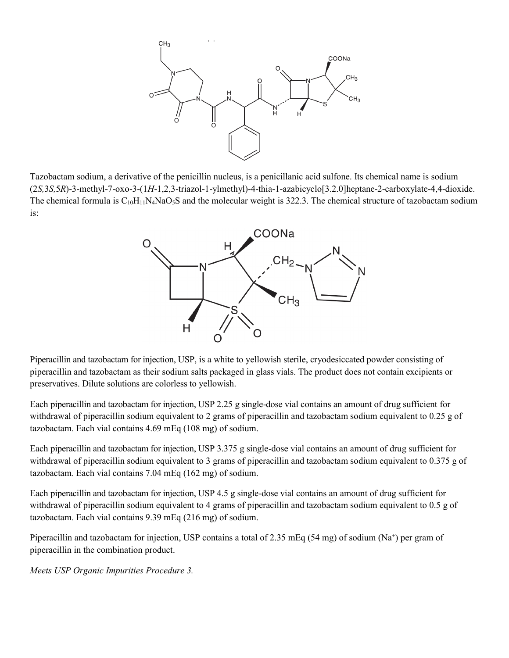

Tazobactam sodium, a derivative of the penicillin nucleus, is a penicillanic acid sulfone. Its chemical name is sodium (2*S,*3*S,*5*R*)-3-methyl-7-oxo-3-(1*H*-1,2,3-triazol-1-ylmethyl)-4-thia-1-azabicyclo[3.2.0]heptane-2-carboxylate-4,4-dioxide. The chemical formula is  $C_{10}H_{11}N_4N_4O_5S$  and the molecular weight is 322.3. The chemical structure of tazobactam sodium is:



Piperacillin and tazobactam for injection, USP, is a white to yellowish sterile, cryodesiccated powder consisting of piperacillin and tazobactam as their sodium salts packaged in glass vials. The product does not contain excipients or preservatives. Dilute solutions are colorless to yellowish.

Each piperacillin and tazobactam for injection, USP 2.25 g single-dose vial contains an amount of drug sufficient for withdrawal of piperacillin sodium equivalent to 2 grams of piperacillin and tazobactam sodium equivalent to 0.25 g of tazobactam. Each vial contains 4.69 mEq (108 mg) of sodium.

Each piperacillin and tazobactam for injection, USP 3.375 g single-dose vial contains an amount of drug sufficient for withdrawal of piperacillin sodium equivalent to 3 grams of piperacillin and tazobactam sodium equivalent to 0.375 g of tazobactam. Each vial contains 7.04 mEq (162 mg) of sodium.

Each piperacillin and tazobactam for injection, USP 4.5 g single-dose vial contains an amount of drug sufficient for withdrawal of piperacillin sodium equivalent to 4 grams of piperacillin and tazobactam sodium equivalent to 0.5 g of tazobactam. Each vial contains 9.39 mEq (216 mg) of sodium.

Piperacillin and tazobactam for injection, USP contains a total of 2.35 mEq (54 mg) of sodium (Na<sup>+</sup>) per gram of piperacillin in the combination product.

*Meets USP Organic Impurities Procedure 3.*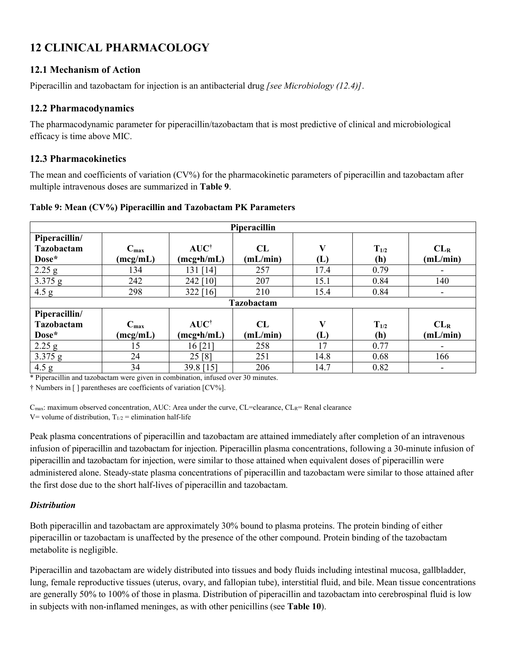# **12 CLINICAL PHARMACOLOGY**

## **12.1 Mechanism of Action**

Piperacillin and tazobactam for injection is an antibacterial drug *[see Microbiology (12.4)]*.

#### **12.2 Pharmacodynamics**

The pharmacodynamic parameter for piperacillin/tazobactam that is most predictive of clinical and microbiological efficacy is time above MIC.

### **12.3 Pharmacokinetics**

The mean and coefficients of variation (CV%) for the pharmacokinetic parameters of piperacillin and tazobactam after multiple intravenous doses are summarized in **Table 9**.

| Piperacillin                                |                              |                                      |                |          |                  |                             |  |
|---------------------------------------------|------------------------------|--------------------------------------|----------------|----------|------------------|-----------------------------|--|
| Piperacillin/<br><b>Tazobactam</b><br>Dose* | $C_{\text{max}}$<br>(mcg/mL) | $AUC^{\dagger}$<br>$(mcg\cdot h/mL)$ | CL<br>(mL/min) | V<br>(L) | $T_{1/2}$<br>(h) | CL <sub>R</sub><br>(mL/min) |  |
| $2.25$ g                                    | 134                          | 131 [14]                             | 257            | 17.4     | 0.79             |                             |  |
| 3.375 g                                     | 242                          | 242 [10]                             | 207            | 15.1     | 0.84             | 140                         |  |
| 4.5 g                                       | 298                          | 322 [16]                             | 210            | 15.4     | 0.84             | $\overline{\phantom{a}}$    |  |
|                                             |                              |                                      | Tazobactam     |          |                  |                             |  |
| Piperacillin/                               |                              |                                      |                |          |                  |                             |  |
| Tazobactam                                  | $C_{\text{max}}$             | $AUC^{\dagger}$                      | CL             | V        | $T_{1/2}$        | CL <sub>R</sub>             |  |
| Dose*                                       | (mcg/mL)                     | $(mcg\cdot h/mL)$                    | (mL/min)       | (L)      | (h)              | (mL/min)                    |  |
| 2.25 g                                      | 15                           | 16[21]                               | 258            | 17       | 0.77             | $\overline{\phantom{a}}$    |  |
| 3.375 g                                     | 24                           | 25[8]                                | 251            | 14.8     | 0.68             | 166                         |  |
| 4.5 g                                       | 34                           | 39.8 [15]                            | 206            | 14.7     | 0.82             |                             |  |

#### **Table 9: Mean (CV%) Piperacillin and Tazobactam PK Parameters**

\* Piperacillin and tazobactam were given in combination, infused over 30 minutes.

† Numbers in [ ] parentheses are coefficients of variation [CV%].

C<sub>max</sub>: maximum observed concentration, AUC: Area under the curve, CL=clearance, CL<sub>R</sub>= Renal clearance V= volume of distribution,  $T_{1/2}$  = elimination half-life

Peak plasma concentrations of piperacillin and tazobactam are attained immediately after completion of an intravenous infusion of piperacillin and tazobactam for injection. Piperacillin plasma concentrations, following a 30-minute infusion of piperacillin and tazobactam for injection, were similar to those attained when equivalent doses of piperacillin were administered alone. Steady-state plasma concentrations of piperacillin and tazobactam were similar to those attained after the first dose due to the short half-lives of piperacillin and tazobactam.

### *Distribution*

Both piperacillin and tazobactam are approximately 30% bound to plasma proteins. The protein binding of either piperacillin or tazobactam is unaffected by the presence of the other compound. Protein binding of the tazobactam metabolite is negligible.

Piperacillin and tazobactam are widely distributed into tissues and body fluids including intestinal mucosa, gallbladder, lung, female reproductive tissues (uterus, ovary, and fallopian tube), interstitial fluid, and bile. Mean tissue concentrations are generally 50% to 100% of those in plasma. Distribution of piperacillin and tazobactam into cerebrospinal fluid is low in subjects with non-inflamed meninges, as with other penicillins (see **Table 10**).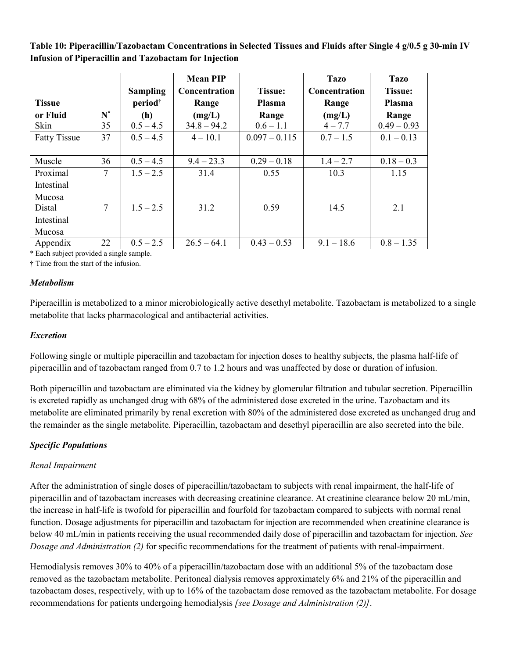**Table 10: Piperacillin/Tazobactam Concentrations in Selected Tissues and Fluids after Single 4 g/0.5 g 30-min IV Infusion of Piperacillin and Tazobactam for Injection**

|                     |       |                     | <b>Mean PIP</b> |                 | <b>Tazo</b>          | <b>Tazo</b>    |
|---------------------|-------|---------------------|-----------------|-----------------|----------------------|----------------|
|                     |       | <b>Sampling</b>     | Concentration   | <b>Tissue:</b>  | <b>Concentration</b> | <b>Tissue:</b> |
| <b>Tissue</b>       |       | period <sup>†</sup> | Range           | Plasma          | Range                | Plasma         |
| or Fluid            | $N^*$ | (h)                 | (mg/L)          | Range           | (mg/L)               | Range          |
| Skin                | 35    | $0.5 - 4.5$         | $34.8 - 94.2$   | $0.6 - 1.1$     | $4 - 7.7$            | $0.49 - 0.93$  |
| <b>Fatty Tissue</b> | 37    | $0.5 - 4.5$         | $4 - 10.1$      | $0.097 - 0.115$ | $0.7 - 1.5$          | $0.1 - 0.13$   |
|                     |       |                     |                 |                 |                      |                |
| Muscle              | 36    | $0.5 - 4.5$         | $9.4 - 23.3$    | $0.29 - 0.18$   | $1.4 - 2.7$          | $0.18 - 0.3$   |
| Proximal            | 7     | $1.5 - 2.5$         | 31.4            | 0.55            | 10.3                 | 1.15           |
| Intestinal          |       |                     |                 |                 |                      |                |
| Mucosa              |       |                     |                 |                 |                      |                |
| Distal              | 7     | $1.5 - 2.5$         | 31.2            | 0.59            | 14.5                 | 2.1            |
| Intestinal          |       |                     |                 |                 |                      |                |
| Mucosa              |       |                     |                 |                 |                      |                |
| Appendix            | 22    | $0.5 - 2.5$         | $26.5 - 64.1$   | $0.43 - 0.53$   | $9.1 - 18.6$         | $0.8 - 1.35$   |

\* Each subject provided a single sample.

† Time from the start of the infusion.

#### *Metabolism*

Piperacillin is metabolized to a minor microbiologically active desethyl metabolite. Tazobactam is metabolized to a single metabolite that lacks pharmacological and antibacterial activities.

#### *Excretion*

Following single or multiple piperacillin and tazobactam for injection doses to healthy subjects, the plasma half-life of piperacillin and of tazobactam ranged from 0.7 to 1.2 hours and was unaffected by dose or duration of infusion.

Both piperacillin and tazobactam are eliminated via the kidney by glomerular filtration and tubular secretion. Piperacillin is excreted rapidly as unchanged drug with 68% of the administered dose excreted in the urine. Tazobactam and its metabolite are eliminated primarily by renal excretion with 80% of the administered dose excreted as unchanged drug and the remainder as the single metabolite. Piperacillin, tazobactam and desethyl piperacillin are also secreted into the bile.

#### *Specific Populations*

#### *Renal Impairment*

After the administration of single doses of piperacillin/tazobactam to subjects with renal impairment, the half-life of piperacillin and of tazobactam increases with decreasing creatinine clearance. At creatinine clearance below 20 mL/min, the increase in half-life is twofold for piperacillin and fourfold for tazobactam compared to subjects with normal renal function. Dosage adjustments for piperacillin and tazobactam for injection are recommended when creatinine clearance is below 40 mL/min in patients receiving the usual recommended daily dose of piperacillin and tazobactam for injection. *See Dosage and Administration (2)* for specific recommendations for the treatment of patients with renal-impairment.

Hemodialysis removes 30% to 40% of a piperacillin/tazobactam dose with an additional 5% of the tazobactam dose removed as the tazobactam metabolite. Peritoneal dialysis removes approximately 6% and 21% of the piperacillin and tazobactam doses, respectively, with up to 16% of the tazobactam dose removed as the tazobactam metabolite. For dosage recommendations for patients undergoing hemodialysis *[see Dosage and Administration (2)]*.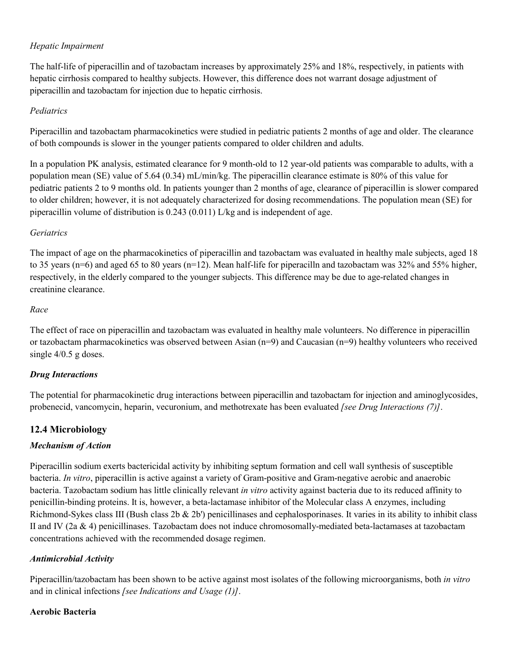#### *Hepatic Impairment*

The half-life of piperacillin and of tazobactam increases by approximately 25% and 18%, respectively, in patients with hepatic cirrhosis compared to healthy subjects. However, this difference does not warrant dosage adjustment of piperacillin and tazobactam for injection due to hepatic cirrhosis.

#### *Pediatrics*

Piperacillin and tazobactam pharmacokinetics were studied in pediatric patients 2 months of age and older. The clearance of both compounds is slower in the younger patients compared to older children and adults.

In a population PK analysis, estimated clearance for 9 month-old to 12 year-old patients was comparable to adults, with a population mean (SE) value of 5.64 (0.34) mL/min/kg. The piperacillin clearance estimate is 80% of this value for pediatric patients 2 to 9 months old. In patients younger than 2 months of age, clearance of piperacillin is slower compared to older children; however, it is not adequately characterized for dosing recommendations. The population mean (SE) for piperacillin volume of distribution is 0.243 (0.011) L/kg and is independent of age.

#### *Geriatrics*

The impact of age on the pharmacokinetics of piperacillin and tazobactam was evaluated in healthy male subjects, aged 18 to 35 years (n=6) and aged 65 to 80 years (n=12). Mean half-life for piperacilln and tazobactam was 32% and 55% higher, respectively, in the elderly compared to the younger subjects. This difference may be due to age-related changes in creatinine clearance.

#### *Race*

The effect of race on piperacillin and tazobactam was evaluated in healthy male volunteers. No difference in piperacillin or tazobactam pharmacokinetics was observed between Asian (n=9) and Caucasian (n=9) healthy volunteers who received single 4/0.5 g doses.

### *Drug Interactions*

The potential for pharmacokinetic drug interactions between piperacillin and tazobactam for injection and aminoglycosides, probenecid, vancomycin, heparin, vecuronium, and methotrexate has been evaluated *[see Drug Interactions (7)]*.

### **12.4 Microbiology**

### *Mechanism of Action*

Piperacillin sodium exerts bactericidal activity by inhibiting septum formation and cell wall synthesis of susceptible bacteria. *In vitro*, piperacillin is active against a variety of Gram-positive and Gram-negative aerobic and anaerobic bacteria. Tazobactam sodium has little clinically relevant *in vitro* activity against bacteria due to its reduced affinity to penicillin-binding proteins. It is, however, a beta-lactamase inhibitor of the Molecular class A enzymes, including Richmond-Sykes class III (Bush class 2b & 2b') penicillinases and cephalosporinases. It varies in its ability to inhibit class II and IV (2a & 4) penicillinases. Tazobactam does not induce chromosomally-mediated beta-lactamases at tazobactam concentrations achieved with the recommended dosage regimen.

### *Antimicrobial Activity*

Piperacillin/tazobactam has been shown to be active against most isolates of the following microorganisms, both *in vitro*  and in clinical infections *[see Indications and Usage (1)]*.

#### **Aerobic Bacteria**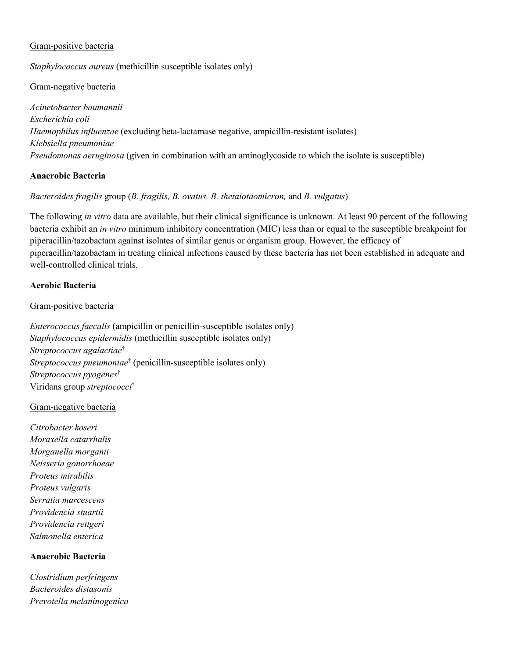#### Gram-positive bacteria

*Staphylococcus aureus* (methicillin susceptible isolates only)

#### Gram-negative bacteria

*Acinetobacter baumannii Escherichia coli Haemophilus influenzae* (excluding beta-lactamase negative, ampicillin-resistant isolates) *Klebsiella pneumoniae Pseudomonas aeruginosa* (given in combination with an aminoglycoside to which the isolate is susceptible)

#### **Anaerobic Bacteria**

#### *Bacteroides fragilis* group (*B. fragilis, B. ovatus, B. thetaiotaomicron,* and *B. vulgatus*)

The following *in vitro* data are available, but their clinical significance is unknown. At least 90 percent of the following bacteria exhibit an *in vitro* minimum inhibitory concentration (MIC) less than or equal to the susceptible breakpoint for piperacillin/tazobactam against isolates of similar genus or organism group. However, the efficacy of piperacillin/tazobactam in treating clinical infections caused by these bacteria has not been established in adequate and well-controlled clinical trials.

#### **Aerobic Bacteria**

#### Gram-positive bacteria

*Enterococcus faecalis* (ampicillin or penicillin-susceptible isolates only) *Staphylococcus epidermidis* (methicillin susceptible isolates only) *Streptococcus agalactiae* † *Streptococcus pneumoniae* † (penicillin-susceptible isolates only) *Streptococcus pyogenes* † Viridans group *streptococci* †

#### Gram-negative bacteria

*Citrobacter koseri Moraxella catarrhalis Morganella morganii Neisseria gonorrhoeae Proteus mirabilis Proteus vulgaris Serratia marcescens Providencia stuartii Providencia rettgeri Salmonella enterica*

#### **Anaerobic Bacteria**

*Clostridium perfringens Bacteroides distasonis Prevotella melaninogenica*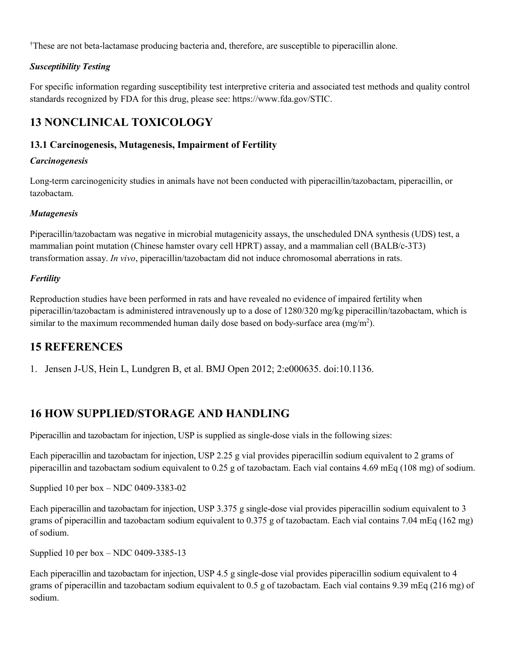†These are not beta-lactamase producing bacteria and, therefore, are susceptible to piperacillin alone.

## *Susceptibility Testing*

For specific information regarding susceptibility test interpretive criteria and associated test methods and quality control standards recognized by FDA for this drug, please see: https://www.fda.gov/STIC.

# **13 NONCLINICAL TOXICOLOGY**

## **13.1 Carcinogenesis, Mutagenesis, Impairment of Fertility**

#### *Carcinogenesis*

Long-term carcinogenicity studies in animals have not been conducted with piperacillin/tazobactam, piperacillin, or tazobactam.

### *Mutagenesis*

Piperacillin/tazobactam was negative in microbial mutagenicity assays, the unscheduled DNA synthesis (UDS) test, a mammalian point mutation (Chinese hamster ovary cell HPRT) assay, and a mammalian cell (BALB/c-3T3) transformation assay. *In vivo*, piperacillin/tazobactam did not induce chromosomal aberrations in rats.

### *Fertility*

Reproduction studies have been performed in rats and have revealed no evidence of impaired fertility when piperacillin/tazobactam is administered intravenously up to a dose of 1280/320 mg/kg piperacillin/tazobactam, which is similar to the maximum recommended human daily dose based on body-surface area (mg/m<sup>2</sup>).

## **15 REFERENCES**

1. Jensen J-US, Hein L, Lundgren B, et al. BMJ Open 2012; 2:e000635. doi:10.1136.

# **16 HOW SUPPLIED/STORAGE AND HANDLING**

Piperacillin and tazobactam for injection, USP is supplied as single-dose vials in the following sizes:

Each piperacillin and tazobactam for injection, USP 2.25 g vial provides piperacillin sodium equivalent to 2 grams of piperacillin and tazobactam sodium equivalent to 0.25 g of tazobactam. Each vial contains 4.69 mEq (108 mg) of sodium.

Supplied 10 per box – NDC 0409-3383-02

Each piperacillin and tazobactam for injection, USP 3.375 g single-dose vial provides piperacillin sodium equivalent to 3 grams of piperacillin and tazobactam sodium equivalent to 0.375 g of tazobactam. Each vial contains 7.04 mEq (162 mg) of sodium.

Supplied 10 per box – NDC 0409-3385-13

Each piperacillin and tazobactam for injection, USP 4.5 g single-dose vial provides piperacillin sodium equivalent to 4 grams of piperacillin and tazobactam sodium equivalent to 0.5 g of tazobactam. Each vial contains 9.39 mEq (216 mg) of sodium.